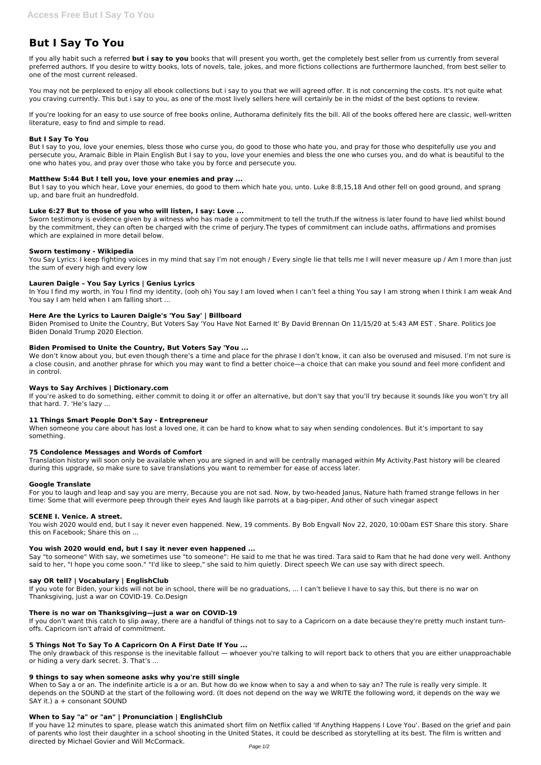# **But I Say To You**

If you ally habit such a referred **but i say to you** books that will present you worth, get the completely best seller from us currently from several preferred authors. If you desire to witty books, lots of novels, tale, jokes, and more fictions collections are furthermore launched, from best seller to one of the most current released.

You may not be perplexed to enjoy all ebook collections but i say to you that we will agreed offer. It is not concerning the costs. It's not quite what you craving currently. This but i say to you, as one of the most lively sellers here will certainly be in the midst of the best options to review.

But I say to you, love your enemies, bless those who curse you, do good to those who hate you, and pray for those who despitefully use you and persecute you, Aramaic Bible in Plain English But I say to you, love your enemies and bless the one who curses you, and do what is beautiful to the one who hates you, and pray over those who take you by force and persecute you.

If you're looking for an easy to use source of free books online, Authorama definitely fits the bill. All of the books offered here are classic, well-written literature, easy to find and simple to read.

# **But I Say To You**

You Say Lyrics: I keep fighting voices in my mind that say I'm not enough / Every single lie that tells me I will never measure up / Am I more than just the sum of every high and every low

In You I find my worth, in You I find my identity, (ooh oh) You say I am loved when I can't feel a thing You say I am strong when I think I am weak And You say I am held when I am falling short ...

# **Matthew 5:44 But I tell you, love your enemies and pray ...**

But I say to you which hear, Love your enemies, do good to them which hate you, unto. Luke 8:8,15,18 And other fell on good ground, and sprang up, and bare fruit an hundredfold.

We don't know about you, but even though there's a time and place for the phrase I don't know, it can also be overused and misused. I'm not sure is a close cousin, and another phrase for which you may want to find a better choice—a choice that can make you sound and feel more confident and in control.

# **Luke 6:27 But to those of you who will listen, I say: Love ...**

Sworn testimony is evidence given by a witness who has made a commitment to tell the truth.If the witness is later found to have lied whilst bound by the commitment, they can often be charged with the crime of perjury.The types of commitment can include oaths, affirmations and promises which are explained in more detail below.

# **Sworn testimony - Wikipedia**

# **Lauren Daigle – You Say Lyrics | Genius Lyrics**

#### **Here Are the Lyrics to Lauren Daigle's 'You Say' | Billboard**

If you don't want this catch to slip away, there are a handful of things not to say to a Capricorn on a date because they're pretty much instant turnoffs. Capricorn isn't afraid of commitment.

Biden Promised to Unite the Country, But Voters Say 'You Have Not Earned It' By David Brennan On 11/15/20 at 5:43 AM EST . Share. Politics Joe Biden Donald Trump 2020 Election.

The only drawback of this response is the inevitable fallout — whoever you're talking to will report back to others that you are either unapproachable or hiding a very dark secret. 3. That's ...

#### **Biden Promised to Unite the Country, But Voters Say 'You ...**

#### **Ways to Say Archives | Dictionary.com**

If you're asked to do something, either commit to doing it or offer an alternative, but don't say that you'll try because it sounds like you won't try all that hard. 7. 'He's lazy ...

# **11 Things Smart People Don't Say - Entrepreneur**

When someone you care about has lost a loved one, it can be hard to know what to say when sending condolences. But it's important to say something.

#### **75 Condolence Messages and Words of Comfort**

Translation history will soon only be available when you are signed in and will be centrally managed within My Activity.Past history will be cleared during this upgrade, so make sure to save translations you want to remember for ease of access later.

#### **Google Translate**

For you to laugh and leap and say you are merry, Because you are not sad. Now, by two-headed Janus, Nature hath framed strange fellows in her time: Some that will evermore peep through their eyes And laugh like parrots at a bag-piper, And other of such vinegar aspect

#### **SCENE I. Venice. A street.**

You wish 2020 would end, but I say it never even happened. New, 19 comments. By Bob Engvall Nov 22, 2020, 10:00am EST Share this story. Share this on Facebook; Share this on ...

#### **You wish 2020 would end, but I say it never even happened ...**

Say "to someone" With say, we sometimes use "to someone": He said to me that he was tired. Tara said to Ram that he had done very well. Anthony said to her, "I hope you come soon." "I'd like to sleep," she said to him quietly. Direct speech We can use say with direct speech.

#### **say OR tell? | Vocabulary | EnglishClub**

If you vote for Biden, your kids will not be in school, there will be no graduations, ... I can't believe I have to say this, but there is no war on Thanksgiving, just a war on COVID-19. Co.Design

#### **There is no war on Thanksgiving—just a war on COVID-19**

#### **5 Things Not To Say To A Capricorn On A First Date If You ...**

#### **9 things to say when someone asks why you're still single**

When to Say a or an. The indefinite article is a or an. But how do we know when to say a and when to say an? The rule is really very simple. It depends on the SOUND at the start of the following word. (It does not depend on the way we WRITE the following word, it depends on the way we SAY it.) a + consonant SOUND

#### **When to Say "a" or "an" | Pronunciation | EnglishClub**

If you have 12 minutes to spare, please watch this animated short film on Netflix called 'If Anything Happens I Love You'. Based on the grief and pain of parents who lost their daughter in a school shooting in the United States, it could be described as storytelling at its best. The film is written and directed by Michael Govier and Will McCormack.